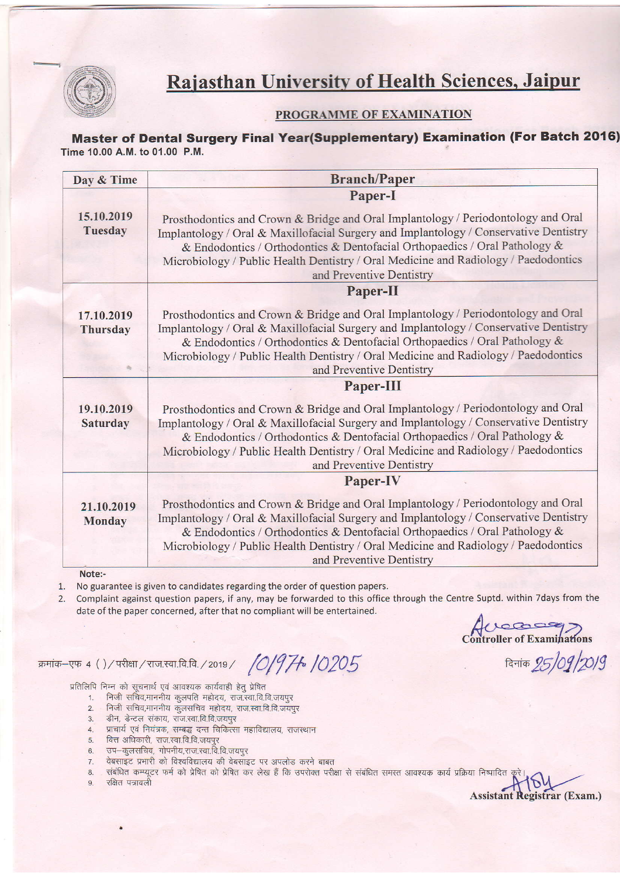

## Rajasthan University of Health Sciences, Jaipur

#### PROGRAMME OF EXAMINATION

Master of Dental Surgery Final Year(Supplementary) Examination (For Batch 2016) Time 10.00 A.M. to 01.00 P.M.

| Paper-I<br>15.10.2019<br>Prosthodontics and Crown & Bridge and Oral Implantology / Periodontology and Oral<br>Tuesday<br>Implantology / Oral & Maxillofacial Surgery and Implantology / Conservative Dentistry<br>& Endodontics / Orthodontics & Dentofacial Orthopaedics / Oral Pathology &<br>Microbiology / Public Health Dentistry / Oral Medicine and Radiology / Paedodontics<br>and Preventive Dentistry<br>Paper-II<br>Prosthodontics and Crown & Bridge and Oral Implantology / Periodontology and Oral<br>17.10.2019<br>Implantology / Oral & Maxillofacial Surgery and Implantology / Conservative Dentistry<br><b>Thursday</b><br>& Endodontics / Orthodontics & Dentofacial Orthopaedics / Oral Pathology &<br>Microbiology / Public Health Dentistry / Oral Medicine and Radiology / Paedodontics<br>and Preventive Dentistry<br>Paper-III<br>Prosthodontics and Crown & Bridge and Oral Implantology / Periodontology and Oral<br>19.10.2019<br>Implantology / Oral & Maxillofacial Surgery and Implantology / Conservative Dentistry<br>Saturday<br>& Endodontics / Orthodontics & Dentofacial Orthopaedics / Oral Pathology &<br>Microbiology / Public Health Dentistry / Oral Medicine and Radiology / Paedodontics<br>and Preventive Dentistry<br>Paper-IV<br>Prosthodontics and Crown & Bridge and Oral Implantology / Periodontology and Oral<br>21.10.2019<br>Implantology / Oral & Maxillofacial Surgery and Implantology / Conservative Dentistry<br><b>Monday</b><br>& Endodontics / Orthodontics & Dentofacial Orthopaedics / Oral Pathology &<br>Microbiology / Public Health Dentistry / Oral Medicine and Radiology / Paedodontics<br>and Preventive Dentistry | Day & Time | <b>Branch/Paper</b> |  |
|---------------------------------------------------------------------------------------------------------------------------------------------------------------------------------------------------------------------------------------------------------------------------------------------------------------------------------------------------------------------------------------------------------------------------------------------------------------------------------------------------------------------------------------------------------------------------------------------------------------------------------------------------------------------------------------------------------------------------------------------------------------------------------------------------------------------------------------------------------------------------------------------------------------------------------------------------------------------------------------------------------------------------------------------------------------------------------------------------------------------------------------------------------------------------------------------------------------------------------------------------------------------------------------------------------------------------------------------------------------------------------------------------------------------------------------------------------------------------------------------------------------------------------------------------------------------------------------------------------------------------------------------------------------------------------------------|------------|---------------------|--|
|                                                                                                                                                                                                                                                                                                                                                                                                                                                                                                                                                                                                                                                                                                                                                                                                                                                                                                                                                                                                                                                                                                                                                                                                                                                                                                                                                                                                                                                                                                                                                                                                                                                                                             |            |                     |  |
|                                                                                                                                                                                                                                                                                                                                                                                                                                                                                                                                                                                                                                                                                                                                                                                                                                                                                                                                                                                                                                                                                                                                                                                                                                                                                                                                                                                                                                                                                                                                                                                                                                                                                             |            |                     |  |
|                                                                                                                                                                                                                                                                                                                                                                                                                                                                                                                                                                                                                                                                                                                                                                                                                                                                                                                                                                                                                                                                                                                                                                                                                                                                                                                                                                                                                                                                                                                                                                                                                                                                                             |            |                     |  |
|                                                                                                                                                                                                                                                                                                                                                                                                                                                                                                                                                                                                                                                                                                                                                                                                                                                                                                                                                                                                                                                                                                                                                                                                                                                                                                                                                                                                                                                                                                                                                                                                                                                                                             |            |                     |  |
|                                                                                                                                                                                                                                                                                                                                                                                                                                                                                                                                                                                                                                                                                                                                                                                                                                                                                                                                                                                                                                                                                                                                                                                                                                                                                                                                                                                                                                                                                                                                                                                                                                                                                             |            |                     |  |
|                                                                                                                                                                                                                                                                                                                                                                                                                                                                                                                                                                                                                                                                                                                                                                                                                                                                                                                                                                                                                                                                                                                                                                                                                                                                                                                                                                                                                                                                                                                                                                                                                                                                                             |            |                     |  |
|                                                                                                                                                                                                                                                                                                                                                                                                                                                                                                                                                                                                                                                                                                                                                                                                                                                                                                                                                                                                                                                                                                                                                                                                                                                                                                                                                                                                                                                                                                                                                                                                                                                                                             |            |                     |  |
| Note:-                                                                                                                                                                                                                                                                                                                                                                                                                                                                                                                                                                                                                                                                                                                                                                                                                                                                                                                                                                                                                                                                                                                                                                                                                                                                                                                                                                                                                                                                                                                                                                                                                                                                                      |            |                     |  |

1. No guarantee is given to candidates regarding the order of question papers.

Complaint against question papers, if any, may be forwarded to this office through the Centre Suptd. within Tdays from the date of the paper concerned, after that no compliant will be entertained.

Accessor

क्रमांक-एफ 4 ()/परीक्षा/राज.स्वा.वि.वि./2019/ /O/974 /O205 दिनांक 25/09/20/9

Assistant Registrar (Exam.)

- 
- "प्रतिलिपि निम्न को सूचनार्थ एवं आवश्यक कार्यवाही हेतु प्रेषित<br>1. निजी सचिव,माननीय कुलपति महोदय, राज.स्वा.वि.वि.जयपुर<br>2. निजी सचिव,माननीय कुलसचिव महोदय, राज.स्वा.वि.वि.जयपुर
	- z. andra danna agamaa heida,<br>3. डीन, डेन्टल संकाय, राज.स्वा.वि.वि.जयपुर
	- 4. प्राचार्य एवं नियंत्रक, सम्बद्ध दन्त चिकित्सा महाविद्यालय, राजस्थान
	- 5. वित्त अधिकारी, राज.स्वा.वि.वि.जयपुर
	- 6. उप-कुलसचिव, गोपनीय,राज.स्वा.वि.वि.जयपुर
	- 7. वेबसाइट प्रभारी को विश्वविद्यालय की वेबसाइट पर अपलोड करने बाबत<br>8. संबंधित कम्प्यूटर फर्म को प्रेषित को प्रेषित कर लेख हैं कि उपरोक्त परीह
	- 8. संबंधित कम्प्यूटर फर्म को प्रेषित को प्रेषित कर लेख हैं कि उपरोक्त परीक्षा से संबंधित समस्त आवश्यक कार्य प्रक्रिया निष्पादित<br>9. रक्षित पत्रावली
	-